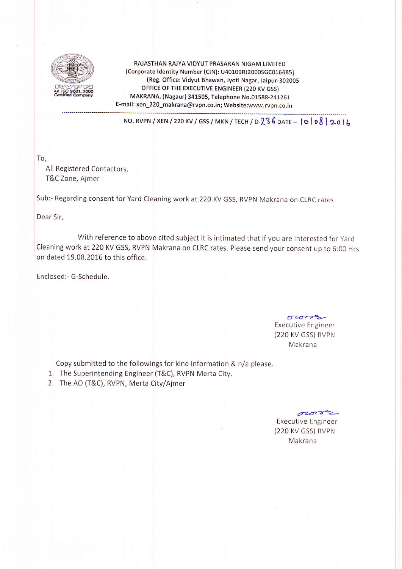

RAJASTHAN RAJYA VIDYUT PRASARAN NIGAM LIMITED [Corporate Identity Number (CIN): U40109RJ2000SGC016485] (Reg, Office: Vidyut Bhawan, Jyoti Nagar, Jaipur-3O2OO5 OFFICE OF THE EXECUTIVE ENGINEER (220 KV GSS) MAKRANA (Nagaur) 341505, Telephone No.01588-241261 E-mail: xen\_220\_makrana@rvpn.co.in; Website;www.rvpn.co.in

NO. RVPN / XEN / 220 KV / GSS / MKN / TECH / D-236 DATE -  $|0|08|2016$ 

To,

All Registered Contactors, T&C Zone, Ajmer

sub:- Regarding consent for Yard cleaning work at 220 KV Gss, RVpN Makrana on cLRc rates.

Dear Sir,

With reference to above cited subject it is intimated that if you are interested for Yard cleaning work at 220 KV GSS, RVPN Makrana on GLRC rates. please send your consent up to 6:00 Hrs on dated 19.08.2016 to this office.

Enclosed:- G-Schedule.

 $\sigma$ Executive Engineer (220 KV GSS) RVPN Makrana

Copy submitted to the followings for kind information & n/a please.

- 1. The Superintending Engineer (T&C), RVPN Merta City.
- 2. The AO (T&C), RVPN, Merta City/Ajmer

owne Executive Engineer (220 KV GSS) RVPN Makrana